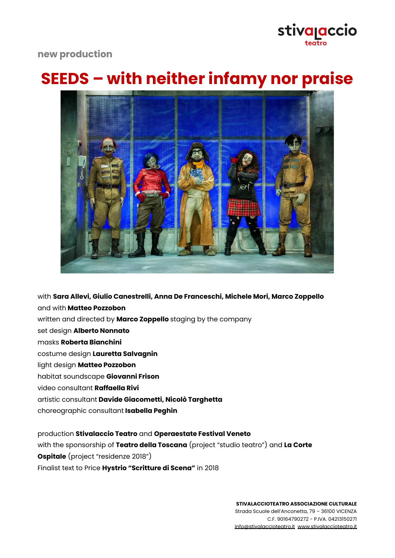## stiva<sub>l</sub>accio teatro

### **new production**

# **SEEDS – with neither infamy nor praise**



with **Sara Allevi, Giulio Canestrelli, Anna De Franceschi, Michele Mori, Marco Zoppello** and with **Matteo Pozzobon** written and directed by **Marco Zoppello** staging by the company set design **Alberto Nonnato** masks **Roberta Bianchini** costume design **Lauretta Salvagnin** light design **Matteo Pozzobon** habitat soundscape **Giovanni Frison** video consultant **Raffaella Rivi** artistic consultant **Davide Giacometti, Nicolò Targhetta** choreographic consultant **Isabella Peghin**

production **Stivalaccio Teatro** and **Operaestate Festival Veneto** with the sponsorship of **Teatro della Toscana** (project "studio teatro") and **La Corte Ospitale** (project "residenze 2018") Finalist text to Price **Hystrio "Scritture di Scena"** in 2018

> **STIVALACCIOTEATRO ASSOCIAZIONE CULTURALE** Strada Scuole dell'Anconetta, 79 – 36100 VICENZA C.F. 90164790272 - P.IVA. 04213150271 [info@stivalaccioteatro.it](mailto:info@stivalaccioteatro.it) [www.stivalaccioteatro.it](http://www.stivalaccioteatro.it)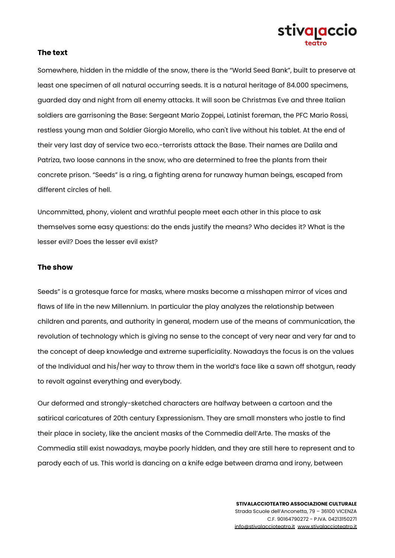

### **The text**

Somewhere, hidden in the middle of the snow, there is the "World Seed Bank", built to preserve at least one specimen of all natural occurring seeds. It is a natural heritage of 84.000 specimens, guarded day and night from all enemy attacks. It will soon be Christmas Eve and three Italian soldiers are garrisoning the Base: Sergeant Mario Zoppei, Latinist foreman, the PFC Mario Rossi, restless young man and Soldier Giorgio Morello, who can't live without his tablet. At the end of their very last day of service two eco.-terrorists attack the Base. Their names are Dalila and Patriza, two loose cannons in the snow, who are determined to free the plants from their concrete prison. "Seeds" is a ring, a fighting arena for runaway human beings, escaped from different circles of hell.

Uncommitted, phony, violent and wrathful people meet each other in this place to ask themselves some easy questions: do the ends justify the means? Who decides it? What is the lesser evil? Does the lesser evil exist?

#### **The show**

Seeds" is a grotesque farce for masks, where masks become a misshapen mirror of vices and flaws of life in the new Millennium. In particular the play analyzes the relationship between children and parents, and authority in general, modern use of the means of communication, the revolution of technology which is giving no sense to the concept of very near and very far and to the concept of deep knowledge and extreme superficiality. Nowadays the focus is on the values of the Individual and his/her way to throw them in the world's face like a sawn off shotgun, ready to revolt against everything and everybody.

Our deformed and strongly-sketched characters are halfway between a cartoon and the satirical caricatures of 20th century Expressionism. They are small monsters who jostle to find their place in society, like the ancient masks of the Commedia dell'Arte. The masks of the Commedia still exist nowadays, maybe poorly hidden, and they are still here to represent and to parody each of us. This world is dancing on a knife edge between drama and irony, between